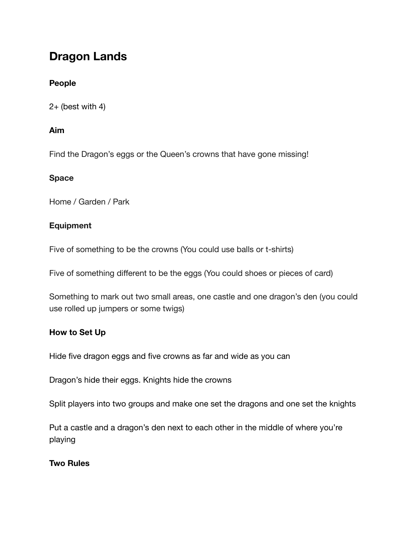# **Dragon Lands**

## **People**

 $2+$  (best with 4)

## **Aim**

Find the Dragon's eggs or the Queen's crowns that have gone missing!

## **Space**

Home / Garden / Park

# **Equipment**

Five of something to be the crowns (You could use balls or t-shirts)

Five of something different to be the eggs (You could shoes or pieces of card)

Something to mark out two small areas, one castle and one dragon's den (you could use rolled up jumpers or some twigs)

## **How to Set Up**

Hide five dragon eggs and five crowns as far and wide as you can

Dragon's hide their eggs. Knights hide the crowns

Split players into two groups and make one set the dragons and one set the knights

Put a castle and a dragon's den next to each other in the middle of where you're playing

## **Two Rules**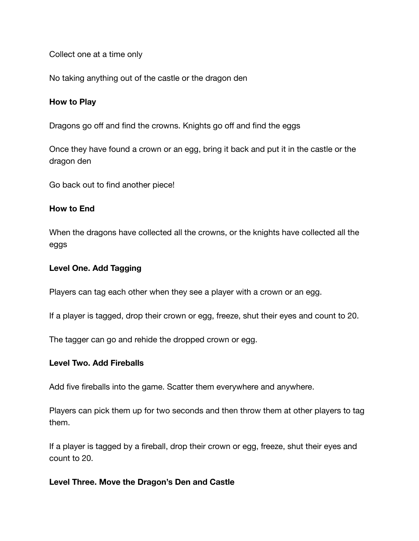Collect one at a time only

No taking anything out of the castle or the dragon den

#### **How to Play**

Dragons go off and find the crowns. Knights go off and find the eggs

Once they have found a crown or an egg, bring it back and put it in the castle or the dragon den

Go back out to find another piece!

#### **How to End**

When the dragons have collected all the crowns, or the knights have collected all the eggs

#### **Level One. Add Tagging**

Players can tag each other when they see a player with a crown or an egg.

If a player is tagged, drop their crown or egg, freeze, shut their eyes and count to 20.

The tagger can go and rehide the dropped crown or egg.

#### **Level Two. Add Fireballs**

Add five fireballs into the game. Scatter them everywhere and anywhere.

Players can pick them up for two seconds and then throw them at other players to tag them.

If a player is tagged by a fireball, drop their crown or egg, freeze, shut their eyes and count to 20.

#### **Level Three. Move the Dragon's Den and Castle**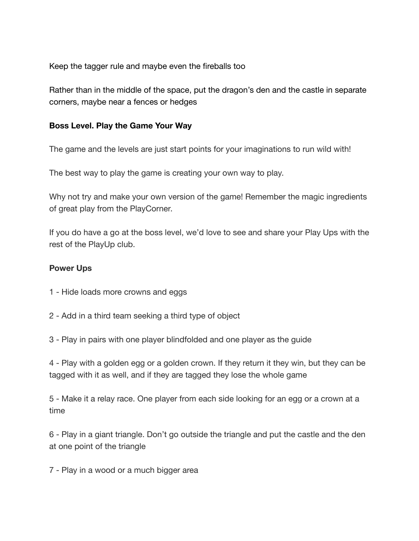Keep the tagger rule and maybe even the fireballs too

Rather than in the middle of the space, put the dragon's den and the castle in separate corners, maybe near a fences or hedges

## **Boss Level. Play the Game Your Way**

The game and the levels are just start points for your imaginations to run wild with!

The best way to play the game is creating your own way to play.

Why not try and make your own version of the game! Remember the magic ingredients of great play from the PlayCorner.

If you do have a go at the boss level, we'd love to see and share your Play Ups with the rest of the PlayUp club.

## **Power Ups**

- 1 Hide loads more crowns and eggs
- 2 Add in a third team seeking a third type of object
- 3 Play in pairs with one player blindfolded and one player as the guide

4 - Play with a golden egg or a golden crown. If they return it they win, but they can be tagged with it as well, and if they are tagged they lose the whole game

5 - Make it a relay race. One player from each side looking for an egg or a crown at a time

6 - Play in a giant triangle. Don't go outside the triangle and put the castle and the den at one point of the triangle

7 - Play in a wood or a much bigger area